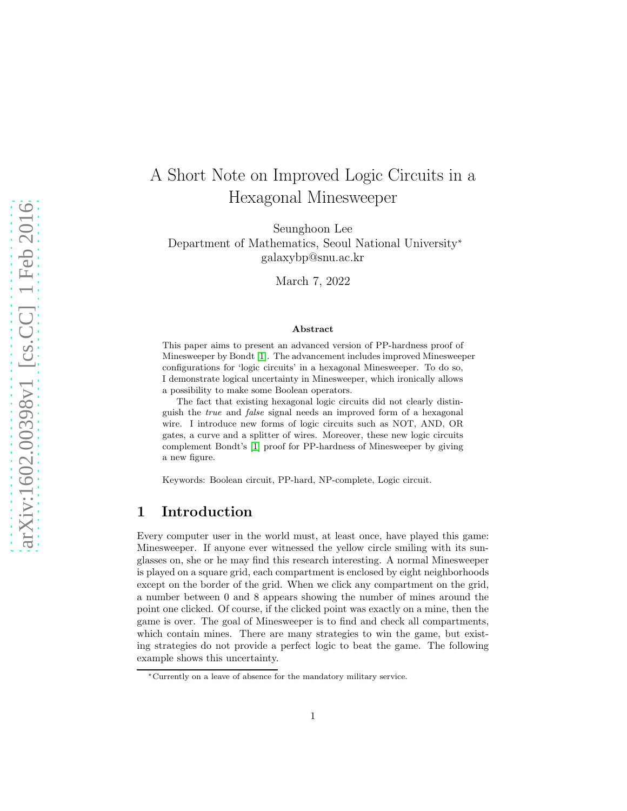# A Short Note on Improved Logic Circuits in a Hexagonal Minesweeper

Seunghoon Lee Department of Mathematics, Seoul National University<sup>∗</sup> galaxybp@snu.ac.kr

March 7, 2022

#### Abstract

This paper aims to present an advanced version of PP-hardness proof of Minesweeper by Bondt [\[1\]](#page-11-0). The advancement includes improved Minesweeper configurations for 'logic circuits' in a hexagonal Minesweeper. To do so, I demonstrate logical uncertainty in Minesweeper, which ironically allows a possibility to make some Boolean operators.

The fact that existing hexagonal logic circuits did not clearly distinguish the true and false signal needs an improved form of a hexagonal wire. I introduce new forms of logic circuits such as NOT, AND, OR gates, a curve and a splitter of wires. Moreover, these new logic circuits complement Bondt's [\[1\]](#page-11-0) proof for PP-hardness of Minesweeper by giving a new figure.

Keywords: Boolean circuit, PP-hard, NP-complete, Logic circuit.

#### 1 Introduction

Every computer user in the world must, at least once, have played this game: Minesweeper. If anyone ever witnessed the yellow circle smiling with its sunglasses on, she or he may find this research interesting. A normal Minesweeper is played on a square grid, each compartment is enclosed by eight neighborhoods except on the border of the grid. When we click any compartment on the grid, a number between 0 and 8 appears showing the number of mines around the point one clicked. Of course, if the clicked point was exactly on a mine, then the game is over. The goal of Minesweeper is to find and check all compartments, which contain mines. There are many strategies to win the game, but existing strategies do not provide a perfect logic to beat the game. The following example shows this uncertainty.

<sup>∗</sup>Currently on a leave of absence for the mandatory military service.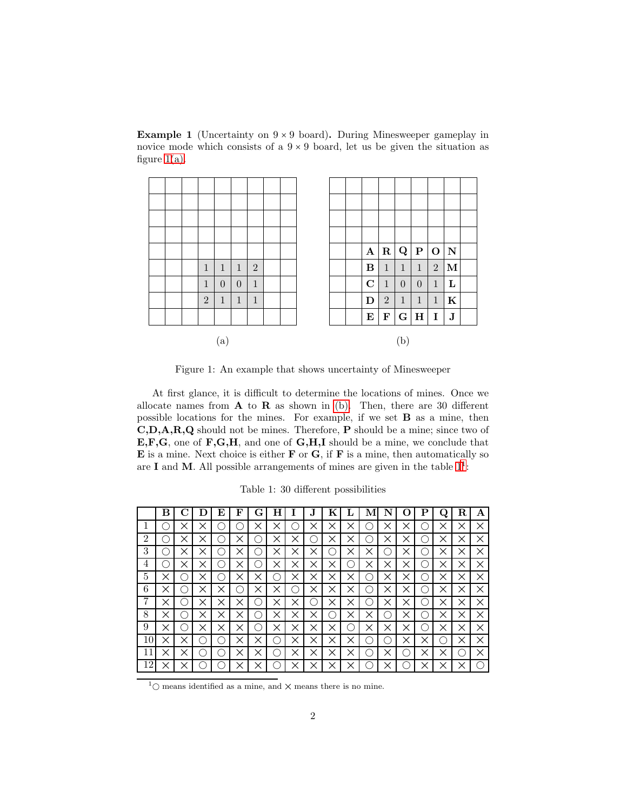**Example 1** (Uncertainty on  $9 \times 9$  board). During Minesweeper gameplay in novice mode which consists of a  $9 \times 9$  board, let us be given the situation as figure  $1(a)$ .



<span id="page-1-0"></span>Figure 1: An example that shows uncertainty of Minesweeper

At first glance, it is difficult to determine the locations of mines. Once we allocate names from  $A$  to  $R$  as shown in [\(b\).](#page-1-0) Then, there are 30 different possible locations for the mines. For example, if we set B as a mine, then C,D,A,R,Q should not be mines. Therefore, P should be a mine; since two of E,F,G, one of F,G,H, and one of G,H,I should be a mine, we conclude that  $E$  is a mine. Next choice is either  $F$  or  $G$ , if  $F$  is a mine, then automatically so are I and M. All possible arrangements of mines are given in the table  $1<sup>1</sup>$  $1<sup>1</sup>$ :

Table 1: 30 different possibilities

<span id="page-1-1"></span>

|                | В        |          |          | E        | F        | L÷       |          |          |          | K        |          |                                                     |          |          |   |          |   | А |
|----------------|----------|----------|----------|----------|----------|----------|----------|----------|----------|----------|----------|-----------------------------------------------------|----------|----------|---|----------|---|---|
| 1              |          | Χ        |          |          |          | ×        | ×        |          | $\times$ | ×        | ×        | ×.                                                  | ×        | ×        |   | ×        |   | × |
| $\overline{2}$ |          | ×        |          |          | ×        | Ð        | ×        | ×        |          | $\times$ | ×        |                                                     | $\times$ | ×        |   |          |   | X |
| 3              | Ξ        | $\times$ | ×        | ◠        | $\times$ | ∩        | ×        | ×        | ×        | ∩        | ×        | $\times$                                            | ◯        | $\times$ |   | ×        | × | X |
| 4              |          | ×        | ×        | ∩        | ×        | ()       | ×        | ×        | ×        | ×        | ∩        | ×                                                   | ×        | ×        |   | ×        | × | X |
| 5              |          |          |          |          | ×        |          | 0        | $\times$ | ×        | ×        | ×        | ⊖                                                   | ×        | $\times$ |   |          | × | X |
| 6              |          |          | ×        | ×        | - 1      | $\times$ | ×        | ( )      | $\times$ | ×        | ×        | $\left( \begin{array}{c} \cdot \end{array} \right)$ | ×        | ×        |   | $\times$ |   | X |
| 7              |          |          | ×        | ×        | ×        |          |          | ×        |          | $\times$ | ×        | $\mathcal{L}$                                       | ×        | ×        |   |          |   | X |
| 8              |          |          |          | $\times$ | ×        | . .      | ×        | $\times$ | $\times$ | C        | $\times$ | $\times$                                            | O        | $\times$ |   | ×        | × | X |
| 9              | $\times$ |          | $\times$ | ×        | ×        | ()       | $\times$ | ×        | $\times$ | ×        | ∩        | $\times$                                            | ×        | $\times$ |   | ×        | × | X |
| 10             |          |          |          |          | $\times$ | ×        | С.       | ×        | ×        | ×        | ×        | Ο.                                                  | n.       | ×        | × |          |   | X |
| 11             |          |          |          |          | ×        | ×        | . .      | $\times$ | ×        | ×        | $\times$ | ⊖                                                   | ×        | ×        | × |          |   | X |
| 12             |          | ×        |          |          | $\times$ | ×        |          | $\times$ | ×        | ×        | ×        |                                                     |          |          |   |          |   |   |

<span id="page-1-2"></span> $1$ <sup>O</sup> means identified as a mine, and  $\times$  means there is no mine.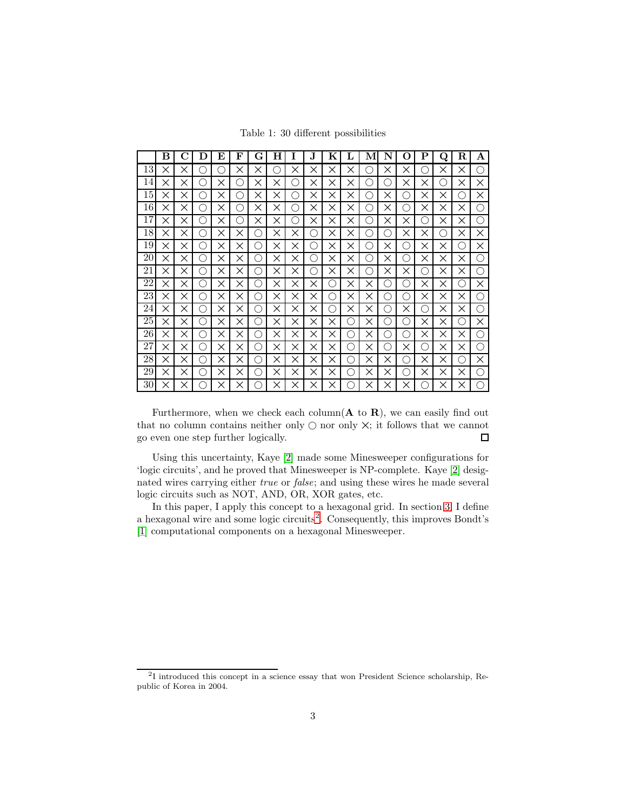Table 1: 30 different possibilities

|    | в | C        | Ð             | E        | F | G            | Н        | Ι        | J.  | Κ        | L | M  | N | 0  | Р            | O  | R   | A        |
|----|---|----------|---------------|----------|---|--------------|----------|----------|-----|----------|---|----|---|----|--------------|----|-----|----------|
| 13 | × | ×        |               | n.       | × | ×            |          | ×        | ×   | X        | × | r. | × | ×  | $\sim$       | ×  | ×   | ∩        |
| 14 | × | ×        | 2             | ×        | n | ×            | ×        | 0        | ×   | ×        | × | r. | 2 | ×  | ×            | n  | X   | X        |
| 15 | X | ×        | $\mathcal{L}$ | ×        | n | ×            | ×        | . .      | ×   | ×        | × | r. | × | 0  | ×            | ×  | ۰,  | X        |
| 16 | X | ×        | Ω             | ×        | ◠ | ×            | ×        | ()       | ×   | ×        | × | Ω  | × | 0  | ×            | X  | ×   | ∩        |
| 17 | X | ×        | O             | ×        | 0 | ×            | ×        | ( )      | ×   | ×        | × | 0  | × | ×  | 88           | X  | ×   | ∩        |
| 18 | × | ×        | . .           | ×        | × | . .          | ×        | ×        |     | ×        | × | 0  |   | ×  | ×            | 88 | ×   | X        |
| 19 | × | ×        | $\mathcal{L}$ | ×        | × | $\mathbf{1}$ | ×        | ×        |     | ×        | × | ∩  | × | С. | ×            | ×  | ()  | X        |
| 20 | × | X        | e,            | $\times$ | × | - 1          | ×        | $\times$ | . . | $\times$ | × | ∩  | × | Ω  | X            | ×  | ×   | ∩        |
| 21 | × | ×        | 2             | ×        | × | . .          | $\times$ | ×        | Ω   | ×        | × | ∩  | X | ×  | n            | ×  | ×   | ∩        |
| 22 | × | ×        | 2             | ×        | × | O            | $\times$ | ×        | ×   | 0        | × | ×  | n | ⊖  | ×            | X  | ∩   | X        |
| 23 | × | ×        | 0             | ×        | × | 0            | ×        | ×        | ×   | ()       | × | ×  | O | ◯  | ×            | ×  | ×   | ∩        |
| 24 | × | ×        | $\mathcal{L}$ | ×        | × | n            | ×        | ×        | ×   | 0        | × | ×  | ◯ | ×  | $\mathbf{1}$ | X  | ×   | ∩        |
| 25 | × | $\times$ | ◠             | ×        | × | ◠            | $\times$ | $\times$ | ×   | ×        | ∩ | ×  | n | Ω  | ×            | ×  | Ω   | $\times$ |
| 26 | × | $\times$ | ∩             | $\times$ | × | $\epsilon$ , | $\times$ | $\times$ | X   | ×        | ∩ | ×  | 2 | 0  | ×            | ×  | ×   | ∩        |
| 27 | × | ×        | ∩             | ×        | × | ⊖            | ×        | $\times$ | ×   | ×        | ∩ | ×  | 0 | ×  | Ω            | X  | ×   | ∩        |
| 28 | X | ×        | $\mathcal{L}$ | ×        | × | 7            | ×        | ×        | ×   | ×        | 0 | ×  | × | 0  | ×            | X  | 〔 〕 | $\times$ |
| 29 | × | ×        | $\sim$        | ×        | × |              | ×        | $\times$ | ×   | X        | ◠ | ×  | × |    | ×            | X  | ×   | ∩        |
| 30 | × | ×        |               | ×        | × |              | $\times$ | $\times$ | X   | ×        |   | ×  | × | ×  |              | ×  | ×   | ∩        |

Furthermore, when we check each column( $\bf{A}$  to  $\bf{R}$ ), we can easily find out that no column contains neither only  $\bigcirc$  nor only  $\times$ ; it follows that we cannot go even one step further logically.  $\Box$ 

Using this uncertainty, Kaye [\[2\]](#page-11-1) made some Minesweeper configurations for 'logic circuits', and he proved that Minesweeper is NP-complete. Kaye [\[2\]](#page-11-1) designated wires carrying either *true* or *false*; and using these wires he made several logic circuits such as NOT, AND, OR, XOR gates, etc.

In this paper, I apply this concept to a hexagonal grid. In section [3,](#page-6-0) I define a hexagonal wire and some logic circuits<sup>[2](#page-2-0)</sup>. Consequently, this improves Bondt's [\[1\]](#page-11-0) computational components on a hexagonal Minesweeper.

<span id="page-2-0"></span><sup>2</sup> I introduced this concept in a science essay that won President Science scholarship, Republic of Korea in 2004.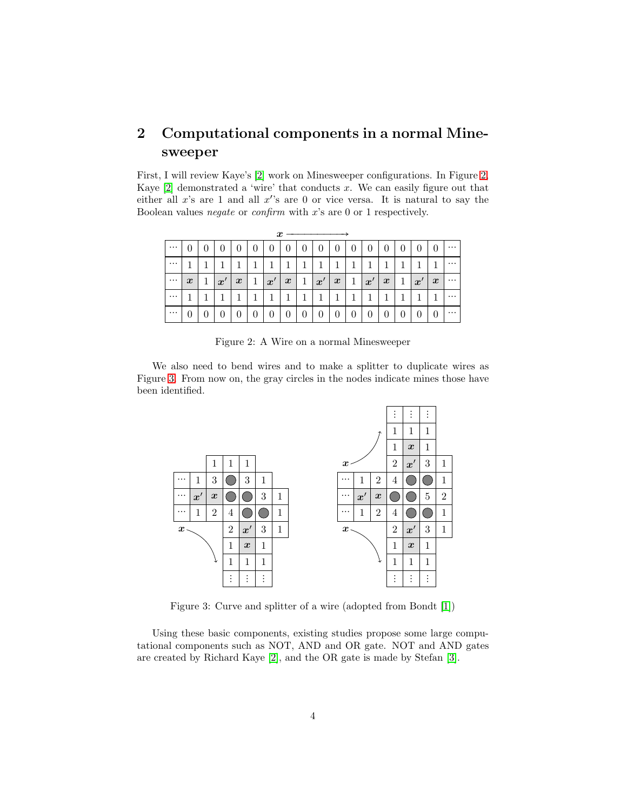## 2 Computational components in a normal Minesweeper

First, I will review Kaye's [\[2\]](#page-11-1) work on Minesweeper configurations. In Figure [2,](#page-3-0) Kaye  $[2]$  demonstrated a 'wire' that conducts x. We can easily figure out that either all  $x$ 's are 1 and all  $x$ 's are 0 or vice versa. It is natural to say the Boolean values *negate* or *confirm* with x's are 0 or 1 respectively.

|          | x                |  |                  |                  |   |                   |                  |   |                   |                  |   |                   |                  |          |                   |                  |          |
|----------|------------------|--|------------------|------------------|---|-------------------|------------------|---|-------------------|------------------|---|-------------------|------------------|----------|-------------------|------------------|----------|
| $\cdots$ |                  |  |                  |                  | 0 | 0                 | $\theta$         | 0 | $\theta$          | 0                | U | O                 | 0                | $\theta$ | 0                 | 0                | $\cdots$ |
| $\cdots$ |                  |  |                  |                  |   |                   |                  |   |                   |                  |   |                   |                  |          |                   |                  | $\cdots$ |
| $\cdots$ | $\boldsymbol{x}$ |  | $\boldsymbol{x}$ | $\boldsymbol{x}$ |   | $\boldsymbol{x}'$ | $\boldsymbol{x}$ | 1 | $\boldsymbol{x}'$ | $\boldsymbol{x}$ | 1 | $\boldsymbol{x}'$ | $\boldsymbol{x}$ | 1        | $\boldsymbol{x}'$ | $\boldsymbol{x}$ | $\cdots$ |
| $\cdots$ |                  |  |                  |                  |   |                   |                  |   |                   |                  |   |                   |                  |          |                   |                  | $\cdots$ |
| $\cdots$ |                  |  |                  |                  | 0 | 0                 | 0                | 0 | 0                 | 0                | U | U                 | 0                | $\theta$ | $\boldsymbol{0}$  | 0                | $\cdots$ |

<span id="page-3-0"></span>Figure 2: A Wire on a normal Minesweeper

We also need to bend wires and to make a splitter to duplicate wires as Figure [3.](#page-3-1) From now on, the gray circles in the nodes indicate mines those have been identified.



<span id="page-3-1"></span>Figure 3: Curve and splitter of a wire (adopted from Bondt [\[1\]](#page-11-0))

Using these basic components, existing studies propose some large computational components such as NOT, AND and OR gate. NOT and AND gates are created by Richard Kaye [\[2\]](#page-11-1), and the OR gate is made by Stefan [\[3\]](#page-11-2).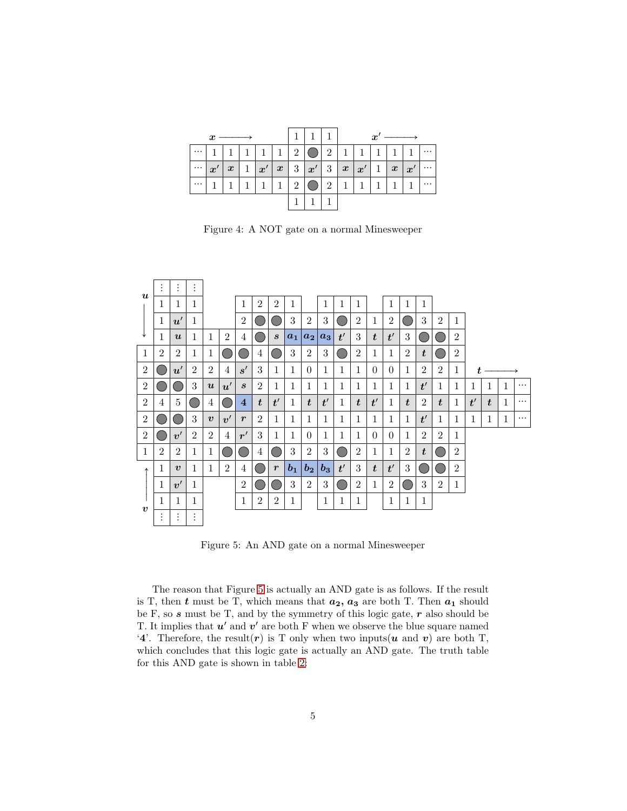| $\cdots$ |              | $1 \mid 1 \mid$  | 1 |    | $\mathbf{1}$ | $\overline{2}$ |      | 2              | $\mathbf{1}$ | 11                | $\mathbf{1}$ | $\pm 1$ $\pm$    |                    |          |
|----------|--------------|------------------|---|----|--------------|----------------|------|----------------|--------------|-------------------|--------------|------------------|--------------------|----------|
| $\cdots$ | $x^{\prime}$ | $\boldsymbol{x}$ |   | x' | $\mathbf{x}$ |                | 3 x' |                | 3   x        | $\boldsymbol{x}'$ | $\mathbf{1}$ | $\boldsymbol{x}$ | $\pm x^{\prime +}$ | $\cdots$ |
| $\cdots$ |              |                  |   |    |              | റ              |      | $\overline{2}$ | $\mathbf{1}$ |                   |              |                  |                    |          |
|          |              |                  |   |    |              |                |      |                |              |                   |              |                  |                    |          |

Figure 4: A NOT gate on a normal Minesweeper

|                  | $\bullet$<br>$\ddot{\phantom{a}}$ | $\vdots$            | $\vdots$                  |                  |                |                  |                  |                  |                |                  |       |    |                  |                  |                |                |                  |                  |                |    |   |   |          |
|------------------|-----------------------------------|---------------------|---------------------------|------------------|----------------|------------------|------------------|------------------|----------------|------------------|-------|----|------------------|------------------|----------------|----------------|------------------|------------------|----------------|----|---|---|----------|
| $\boldsymbol{u}$ | 1                                 | 1                   | 1                         |                  |                | 1                | $\overline{2}$   | $\overline{2}$   | 1              |                  | 1     | 1  | 1                |                  | 1              | 1              | $\mathbf{1}$     |                  |                |    |   |   |          |
|                  | $\mathbf{1}$                      | u'                  | 1                         |                  |                | $\overline{2}$   |                  |                  | 3              | $\overline{2}$   | 3     |    | $\overline{2}$   | $\mathbf{1}$     | $\overline{2}$ |                | 3                | $\overline{2}$   | $\mathbf{1}$   |    |   |   |          |
|                  | 1                                 | $\boldsymbol{u}$    | 1                         | 1                | $\overline{2}$ | 4                | C –              | $\boldsymbol{s}$ | $a_1$          | $a_2$            | $a_3$ | t' | 3                | $\boldsymbol{t}$ | t'             | 3              |                  |                  | $\overline{2}$ |    |   |   |          |
| 1                | $\overline{2}$                    | $\overline{2}$      | $\mathbf{1}$              | 1                |                | <b>STATE</b>     | 4                |                  | 3              | $\overline{2}$   | 3     |    | $\overline{2}$   | 1                | 1              | $\overline{2}$ | $\boldsymbol{t}$ |                  | $\overline{2}$ |    |   |   |          |
| 2                |                                   | u'                  | $\overline{2}$            | $\overline{2}$   | $\overline{4}$ | s'               | 3                | 1                | 1              | $\Omega$         | 1     | 1  | $\mathbf{1}$     | $\Omega$         | $\Omega$       | 1              | $\overline{2}$   | $\overline{2}$   | 1              |    |   |   |          |
| 2                |                                   |                     | 3                         | $\boldsymbol{u}$ | $\bm{u}'$      | $\boldsymbol{s}$ | $\overline{2}$   | 1                | 1              | 1                | 1     | 1  | 1                | 1                | 1              | 1              | t'               | 1                | 1              | 1  | 1 | 1 | $\cdots$ |
| $\overline{2}$   | 4                                 | 5                   |                           | 4                |                | $\overline{4}$   | $\boldsymbol{t}$ | t'               | 1              | $\boldsymbol{t}$ | t'    | 1  | $\boldsymbol{t}$ | t'               | 1              | $\bm{t}$       | $\overline{2}$   | $\boldsymbol{t}$ | 1              | t' | t | 1 | $\cdots$ |
| 2                |                                   |                     | 3                         | $\boldsymbol{v}$ | v'             | $\boldsymbol{r}$ | $\overline{2}$   | 1                | 1              | 1                | 1     | 1  | 1                | 1                | 1              | 1              | t'               | $\mathbf{1}$     | 1              | 1  | 1 | 1 | $\cdots$ |
| $\overline{2}$   |                                   | $\boldsymbol{v}'$   | $\overline{2}$            | $\overline{2}$   | $\overline{4}$ | r'               | 3                | 1                | 1              | $\Omega$         | 1     | 1  | $\mathbf{1}$     | $\Omega$         | $\Omega$       | 1              | $\overline{2}$   | $\overline{2}$   | 1              |    |   |   |          |
| 1                | $\overline{2}$                    | $\overline{2}$      | 1                         | 1                |                |                  | 4                |                  | 3              | $\overline{2}$   | 3     |    | $\overline{2}$   | 1                | 1              | $\overline{2}$ | $\boldsymbol{t}$ |                  | $\overline{2}$ |    |   |   |          |
| ∧                | 1                                 | $\boldsymbol{v}$    | 1                         | 1                | $\overline{2}$ | 4                | 6.               | $\boldsymbol{r}$ | b <sub>1</sub> | $b_{2}$          | $b_3$ | t' | $\sqrt{3}$       | $\boldsymbol{t}$ | t'             | 3              |                  |                  | $\overline{2}$ |    |   |   |          |
|                  | 1                                 | v'                  | 1                         |                  |                | $\overline{2}$   | C –              | C –              | 3              | $\overline{2}$   | 3     |    | $\overline{2}$   | 1                | $\overline{2}$ |                | 3                | $\overline{2}$   | $\mathbf{1}$   |    |   |   |          |
|                  | 1                                 | 1                   | 1                         |                  |                | 1                | 2                | $\overline{2}$   | 1              |                  | 1     | 1  | 1                |                  | 1              | 1              | 1                |                  |                |    |   |   |          |
| $\boldsymbol{v}$ | ٠                                 | ٠<br>$\ddot{\cdot}$ | ٠<br>$\ddot{\phantom{a}}$ |                  |                |                  |                  |                  |                |                  |       |    |                  |                  |                |                |                  |                  |                |    |   |   |          |

<span id="page-4-0"></span>Figure 5: An AND gate on a normal Minesweeper

The reason that Figure [5](#page-4-0) is actually an AND gate is as follows. If the result is T, then  $t$  must be T, which means that  $a_2, a_3$  are both T. Then  $a_1$  should be F, so  $s$  must be T, and by the symmetry of this logic gate,  $r$  also should be T. It implies that  $u'$  and  $v'$  are both F when we observe the blue square named '4'. Therefore, the result(r) is T only when two inputs(u and v) are both T, which concludes that this logic gate is actually an AND gate. The truth table for this AND gate is shown in table [2:](#page-5-0)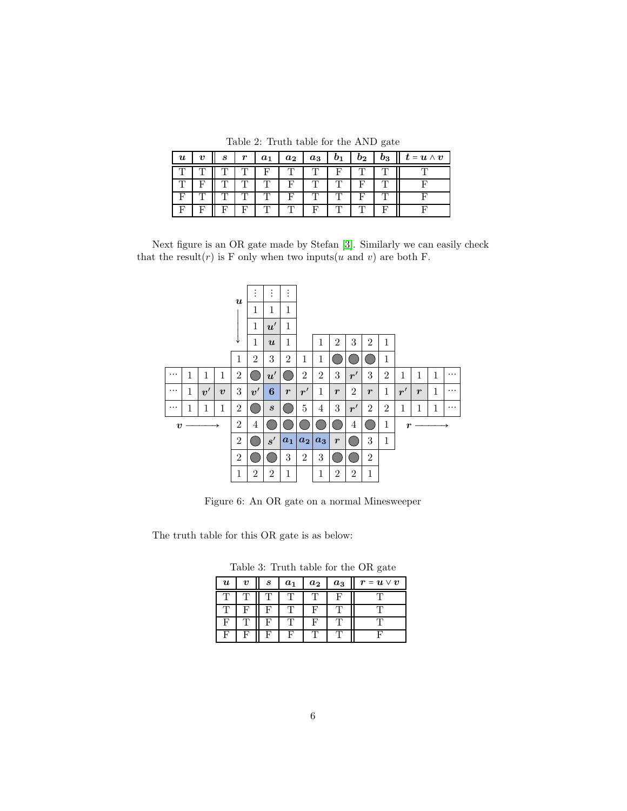<span id="page-5-0"></span>Table 2: Truth table for the AND gate

| $\boldsymbol{u}$ | $\boldsymbol{\eta}$ | S | $\boldsymbol{r}$ | $\mathbf{a}_1$ | $a_2$ | $a_3$ | $b_1$ | $b_2$ | $b_3$ | $\boldsymbol{t} = \boldsymbol{u} \wedge \boldsymbol{v}$ |
|------------------|---------------------|---|------------------|----------------|-------|-------|-------|-------|-------|---------------------------------------------------------|
|                  |                     |   |                  | F              |       |       |       |       |       |                                                         |
|                  |                     |   |                  |                |       |       |       |       |       |                                                         |
|                  |                     |   |                  |                |       |       |       |       |       |                                                         |
|                  |                     |   |                  |                |       | Ð     |       |       |       |                                                         |

Next figure is an OR gate made by Stefan [\[3\]](#page-11-2). Similarly we can easily check that the result(r) is F only when two inputs(u and v) are both F.



Figure 6: An OR gate on a normal Minesweeper

The truth table for this OR gate is as below:

Table 3: Truth table for the OR gate

| $\boldsymbol{u}$ | $\boldsymbol{v}$ | S | a <sub>1</sub> | $a_2$ | $a_3$ | $\bm{r} = \bm{u} \vee \bm{v}$ |
|------------------|------------------|---|----------------|-------|-------|-------------------------------|
|                  |                  |   |                |       | F     |                               |
|                  |                  | Е |                | г     |       |                               |
| F                |                  | F |                | L.    |       |                               |
| F                |                  | L |                |       |       |                               |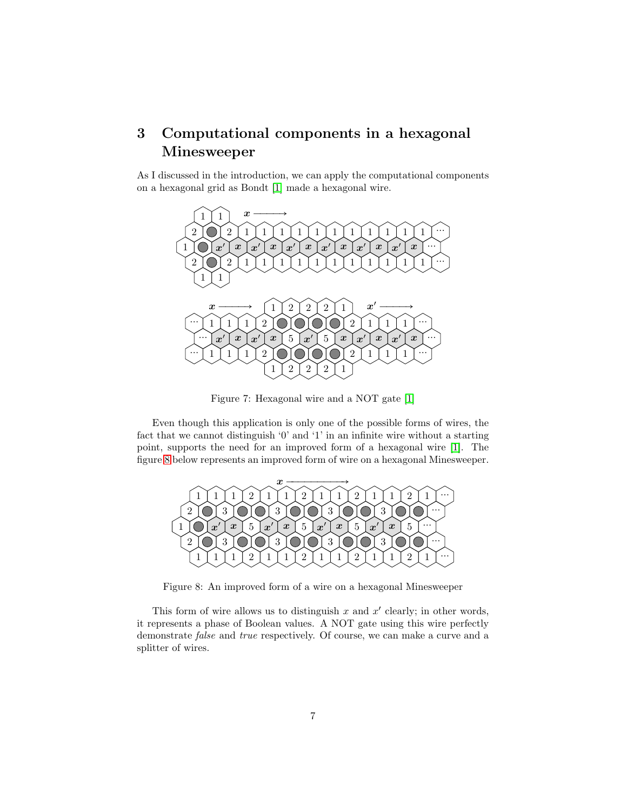## <span id="page-6-0"></span>3 Computational components in a hexagonal Minesweeper

As I discussed in the introduction, we can apply the computational components on a hexagonal grid as Bondt [\[1\]](#page-11-0) made a hexagonal wire.



Figure 7: Hexagonal wire and a NOT gate [\[1\]](#page-11-0)

Even though this application is only one of the possible forms of wires, the fact that we cannot distinguish '0' and '1' in an infinite wire without a starting point, supports the need for an improved form of a hexagonal wire [\[1\]](#page-11-0). The figure [8](#page-6-1) below represents an improved form of wire on a hexagonal Minesweeper.



<span id="page-6-1"></span>Figure 8: An improved form of a wire on a hexagonal Minesweeper

This form of wire allows us to distinguish  $x$  and  $x'$  clearly; in other words, it represents a phase of Boolean values. A NOT gate using this wire perfectly demonstrate *false* and *true* respectively. Of course, we can make a curve and a splitter of wires.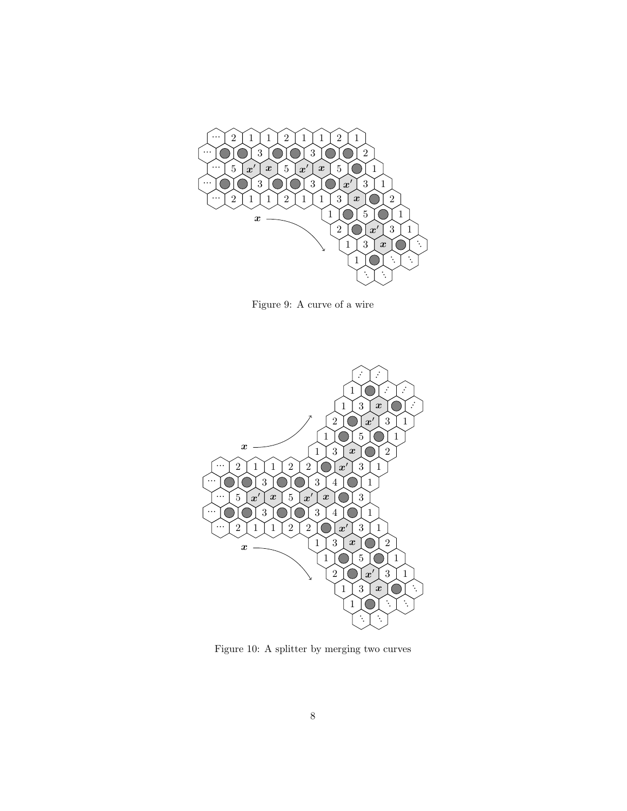

Figure 9: A curve of a wire



Figure 10: A splitter by merging two curves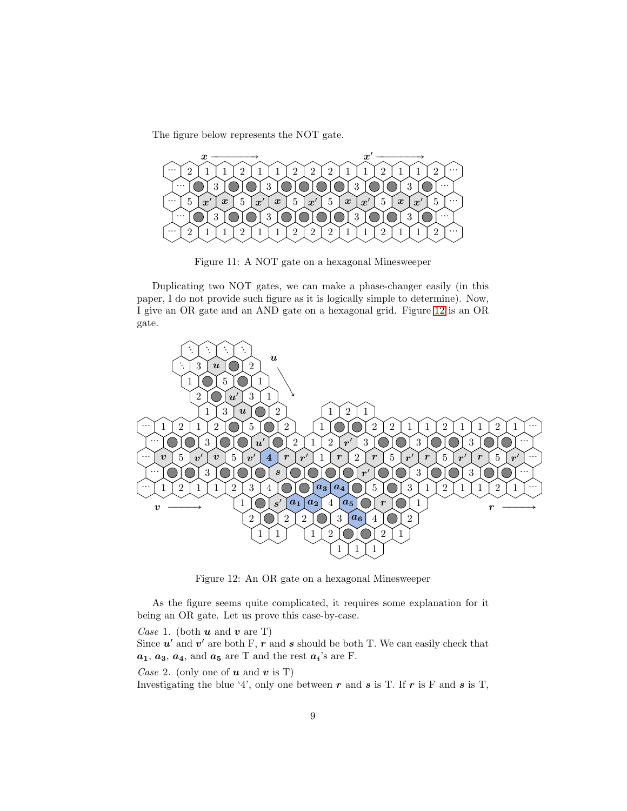The figure below represents the NOT gate.



Figure 11: A NOT gate on a hexagonal Minesweeper

Duplicating two NOT gates, we can make a phase-changer easily (in this paper, I do not provide such figure as it is logically simple to determine). Now, I give an OR gate and an AND gate on a hexagonal grid. Figure [12](#page-8-0) is an OR gate.



<span id="page-8-0"></span>Figure 12: An OR gate on a hexagonal Minesweeper

As the figure seems quite complicated, it requires some explanation for it being an OR gate. Let us prove this case-by-case.

*Case* 1. (both  $u$  and  $v$  are T)

Since  $u'$  and  $v'$  are both F, r and s should be both T. We can easily check that  $a_1, a_3, a_4$ , and  $a_5$  are T and the rest  $a_i$ 's are F.

*Case* 2. (only one of **u** and **v** is T)

Investigating the blue '4', only one between r and s is T. If r is F and s is T,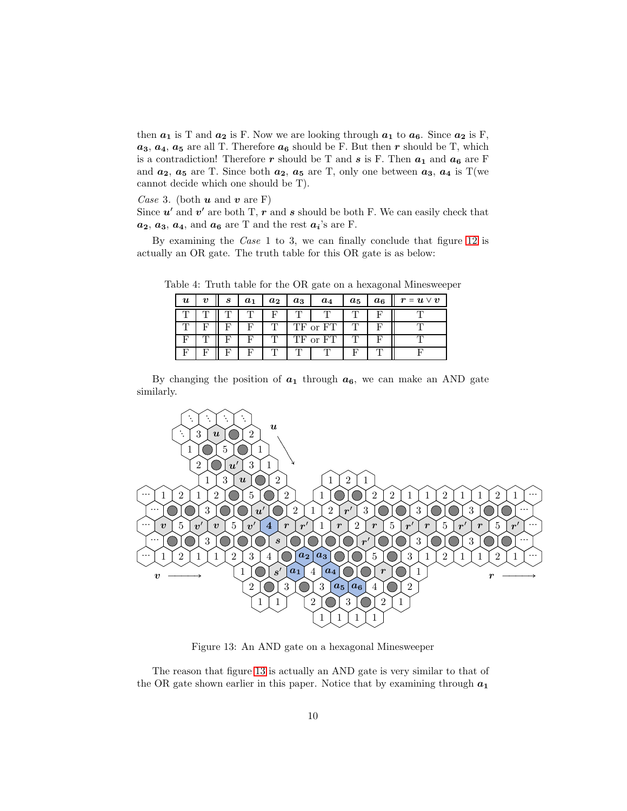then  $a_1$  is T and  $a_2$  is F. Now we are looking through  $a_1$  to  $a_6$ . Since  $a_2$  is F,  $a_3, a_4, a_5$  are all T. Therefore  $a_6$  should be F. But then r should be T, which is a contradiction! Therefore  $r$  should be T and  $s$  is F. Then  $a_1$  and  $a_6$  are F and  $a_2$ ,  $a_5$  are T. Since both  $a_2$ ,  $a_5$  are T, only one between  $a_3$ ,  $a_4$  is T(we cannot decide which one should be T).

*Case* 3. (both  $u$  and  $v$  are F)

Since  $u'$  and  $v'$  are both T,  $r'$  and  $s$  should be both F. We can easily check that  $a_2, a_3, a_4$ , and  $a_6$  are T and the rest  $a_i$ 's are F.

By examining the *Case* 1 to 3, we can finally conclude that figure [12](#page-8-0) is actually an OR gate. The truth table for this OR gate is as below:

| $\boldsymbol{u}$ | 22 | S | $a_1$ | $a_2$ | $a_3$ | $a_4$    | $a_5$ | $a_6$ | $\bm{r} = \bm{u} \vee \bm{v}$ |
|------------------|----|---|-------|-------|-------|----------|-------|-------|-------------------------------|
|                  |    |   |       |       |       |          |       |       |                               |
|                  |    |   |       |       |       | TF or FT |       |       |                               |
|                  |    |   |       |       |       | TF or FT |       |       |                               |
|                  |    |   |       |       |       |          |       |       |                               |

Table 4: Truth table for the OR gate on a hexagonal Minesweeper

By changing the position of  $a_1$  through  $a_6$ , we can make an AND gate similarly.



<span id="page-9-0"></span>Figure 13: An AND gate on a hexagonal Minesweeper

The reason that figure [13](#page-9-0) is actually an AND gate is very similar to that of the OR gate shown earlier in this paper. Notice that by examining through  $a_1$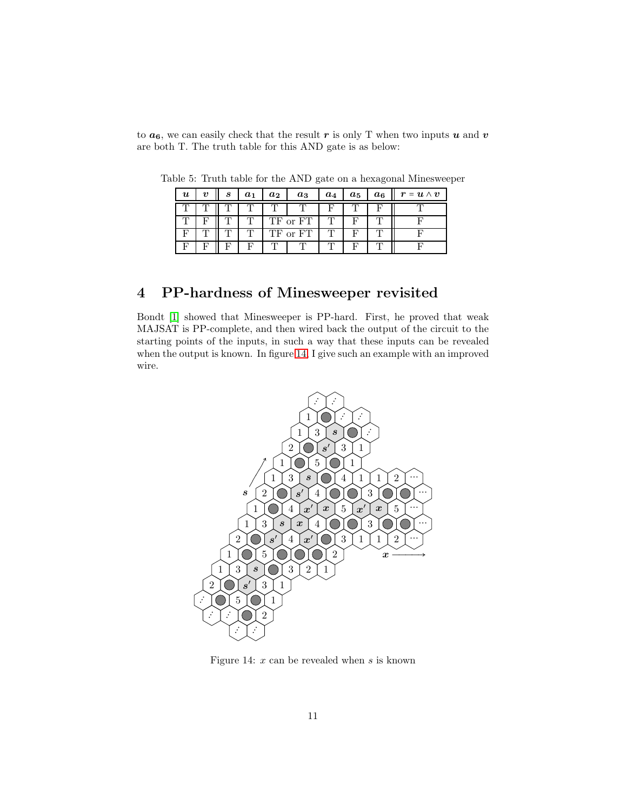to  $a_6$ , we can easily check that the result r is only T when two inputs u and v are both T. The truth table for this AND gate is as below:

| $\boldsymbol{u}$ | S | $a_1$ | $a_2$ | $a_3$    | $a_4$ | $a_5$ | $a_6$ | $\bm{r}=\bm{u}\wedge\bm{v}$ |
|------------------|---|-------|-------|----------|-------|-------|-------|-----------------------------|
|                  |   |       |       |          |       |       |       |                             |
|                  |   |       |       | TF or FT |       |       |       |                             |
|                  |   |       |       | TF or FT |       |       |       |                             |
|                  |   |       |       |          |       |       |       |                             |

Table 5: Truth table for the AND gate on a hexagonal Minesweeper

## 4 PP-hardness of Minesweeper revisited

Bondt [\[1\]](#page-11-0) showed that Minesweeper is PP-hard. First, he proved that weak MAJSAT is PP-complete, and then wired back the output of the circuit to the starting points of the inputs, in such a way that these inputs can be revealed when the output is known. In figure [14,](#page-10-0) I give such an example with an improved wire.



<span id="page-10-0"></span>Figure 14:  $x$  can be revealed when  $s$  is known